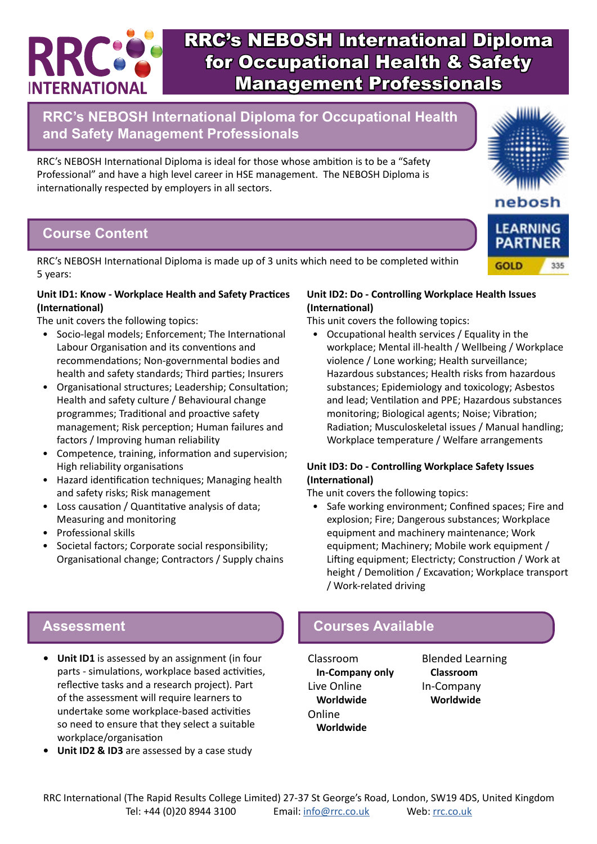

**RRC's NEBOSH International Diploma for Occupational Health and Safety Management Professionals**

RRC's NEBOSH International Diploma is ideal for those whose ambition is to be a "Safety Professional" and have a high level career in HSE management. The NEBOSH Diploma is internationally respected by employers in all sectors.

### **Course Content**

RRC's NEBOSH International Diploma is made up of 3 units which need to be completed within 5 years:

#### **Unit ID1: Know - Workplace Health and Safety Practices (International)**

The unit covers the following topics:

- Socio-legal models; Enforcement; The International Labour Organisation and its conventions and recommendations; Non-governmental bodies and health and safety standards; Third parties; Insurers
- Organisational structures; Leadership; Consultation; Health and safety culture / Behavioural change programmes; Traditional and proactive safety management; Risk perception; Human failures and factors / Improving human reliability
- Competence, training, information and supervision; High reliability organisations
- Hazard identification techniques; Managing health and safety risks; Risk management
- Loss causation / Quantitative analysis of data; Measuring and monitoring
- Professional skills
- Societal factors; Corporate social responsibility; Organisational change; Contractors / Supply chains

#### **Unit ID2: Do - Controlling Workplace Health Issues (International)**

This unit covers the following topics:

• Occupational health services / Equality in the workplace; Mental ill-health / Wellbeing / Workplace violence / Lone working; Health surveillance; Hazardous substances; Health risks from hazardous substances; Epidemiology and toxicology; Asbestos and lead; Ventilation and PPE; Hazardous substances monitoring; Biological agents; Noise; Vibration; Radiation; Musculoskeletal issues / Manual handling; Workplace temperature / Welfare arrangements

#### **Unit ID3: Do - Controlling Workplace Safety Issues (International)**

The unit covers the following topics:

• Safe working environment; Confined spaces; Fire and explosion; Fire; Dangerous substances; Workplace equipment and machinery maintenance; Work equipment; Machinery; Mobile work equipment / Lifting equipment; Electricty; Construction / Work at height / Demolition / Excavation; Workplace transport / Work-related driving

#### **Assessment Courses Available**

Classroom **In-Company only** Live Online **Worldwide** Online **Worldwide**

Blended Learning **Classroom** In-Company **Worldwide**

- **• Unit ID1** is assessed by an assignment (in four parts - simulations, workplace based activities, reflective tasks and a research project). Part of the assessment will require learners to undertake some workplace-based activities so need to ensure that they select a suitable workplace/organisation
- **• Unit ID2 & ID3** are assessed by a case study

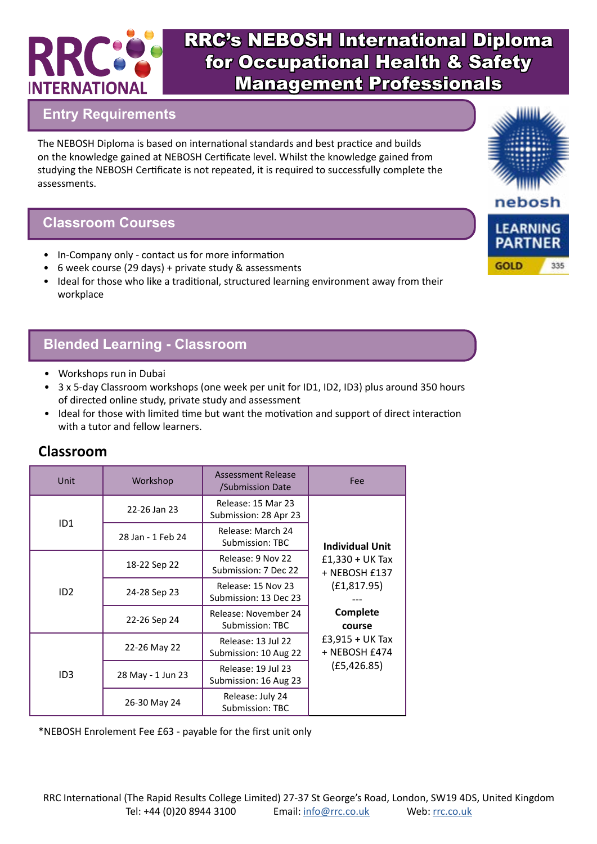

## **Entry Requirements**

The NEBOSH Diploma is based on international standards and best practice and builds on the knowledge gained at NEBOSH Certificate level. Whilst the knowledge gained from studying the NEBOSH Certificate is not repeated, it is required to successfully complete the assessments.

#### **Classroom Courses**

- In-Company only contact us for more information
- 6 week course (29 days) + private study & assessments
- Ideal for those who like a traditional, structured learning environment away from their workplace

## **Blended Learning - Classroom**

- Workshops run in Dubai
- 3 x 5-day Classroom workshops (one week per unit for ID1, ID2, ID3) plus around 350 hours of directed online study, private study and assessment
- Ideal for those with limited time but want the motivation and support of direct interaction with a tutor and fellow learners.

| Unit            | Workshop          | Assessment Release<br>/Submission Date      | Fee                                  |  |
|-----------------|-------------------|---------------------------------------------|--------------------------------------|--|
|                 | 22-26 Jan 23      | Release: 15 Mar 23<br>Submission: 28 Apr 23 |                                      |  |
| ID <sub>1</sub> | 28 Jan - 1 Feb 24 | Release: March 24<br>Submission: TBC        | <b>Individual Unit</b>               |  |
| ID2             | 18-22 Sep 22      | Release: 9 Nov 22<br>Submission: 7 Dec 22   | $£1,330 + UK$ Tax<br>+ NEBOSH £137   |  |
|                 | 24-28 Sep 23      | Release: 15 Nov 23<br>Submission: 13 Dec 23 | (E1, 817.95)<br>Complete<br>course   |  |
|                 | 22-26 Sep 24      | Release: November 24<br>Submission: TBC     |                                      |  |
| ID <sub>3</sub> | 22-26 May 22      | Release: 13 Jul 22<br>Submission: 10 Aug 22 | $£3,915 + UK$ Tax<br>$+$ NEBOSH £474 |  |
|                 | 28 May - 1 Jun 23 | Release: 19 Jul 23<br>Submission: 16 Aug 23 | (E5, 426.85)                         |  |
|                 | 26-30 May 24      | Release: July 24<br>Submission: TBC         |                                      |  |

## **Classroom**

\*NEBOSH Enrolement Fee £63 - payable for the first unit only

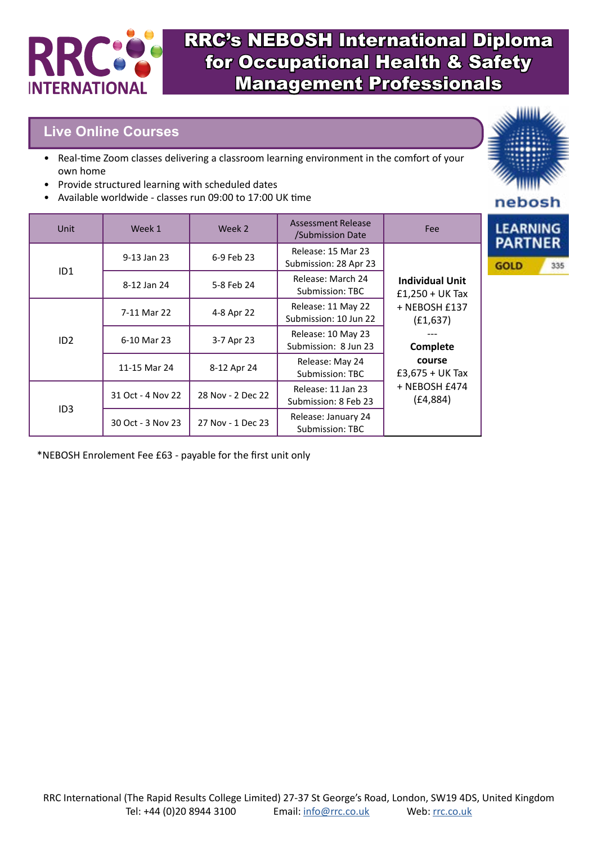

### **Live Online Courses**

- Real-time Zoom classes delivering a classroom learning environment in the comfort of your own home
- Provide structured learning with scheduled dates
- Available worldwide classes run 09:00 to 17:00 UK time

|                        | Unit              | Week 1            | Week 2                                      | Assessment Release<br>/Submission Date                                                                              | <b>Fee</b>  | <b>LEARNIN</b><br><b>PARTNE</b> |
|------------------------|-------------------|-------------------|---------------------------------------------|---------------------------------------------------------------------------------------------------------------------|-------------|---------------------------------|
| ID <sub>1</sub>        | 9-13 Jan 23       | 6-9 Feb 23        | Release: 15 Mar 23<br>Submission: 28 Apr 23 | <b>Individual Unit</b><br>$£1,250 + UK$ Tax<br>+ NEBOSH £137<br>(E1,637)<br>Complete<br>course<br>$£3,675 + UK$ Tax | <b>GOLD</b> |                                 |
|                        | 8-12 Jan 24       | 5-8 Feb 24        | Release: March 24<br>Submission: TBC        |                                                                                                                     |             |                                 |
| ID2<br>ID <sub>3</sub> | 7-11 Mar 22       | 4-8 Apr 22        | Release: 11 May 22<br>Submission: 10 Jun 22 |                                                                                                                     |             |                                 |
|                        | 6-10 Mar 23       | 3-7 Apr 23        | Release: 10 May 23<br>Submission: 8 Jun 23  |                                                                                                                     |             |                                 |
|                        | 11-15 Mar 24      | 8-12 Apr 24       | Release: May 24<br>Submission: TBC          |                                                                                                                     |             |                                 |
|                        | 31 Oct - 4 Nov 22 | 28 Nov - 2 Dec 22 | Release: 11 Jan 23<br>Submission: 8 Feb 23  | + NEBOSH £474<br>(E4, 884)                                                                                          |             |                                 |
|                        | 30 Oct - 3 Nov 23 | 27 Nov - 1 Dec 23 | Release: January 24<br>Submission: TBC      |                                                                                                                     |             |                                 |

\*NEBOSH Enrolement Fee £63 - payable for the first unit only

nebosh

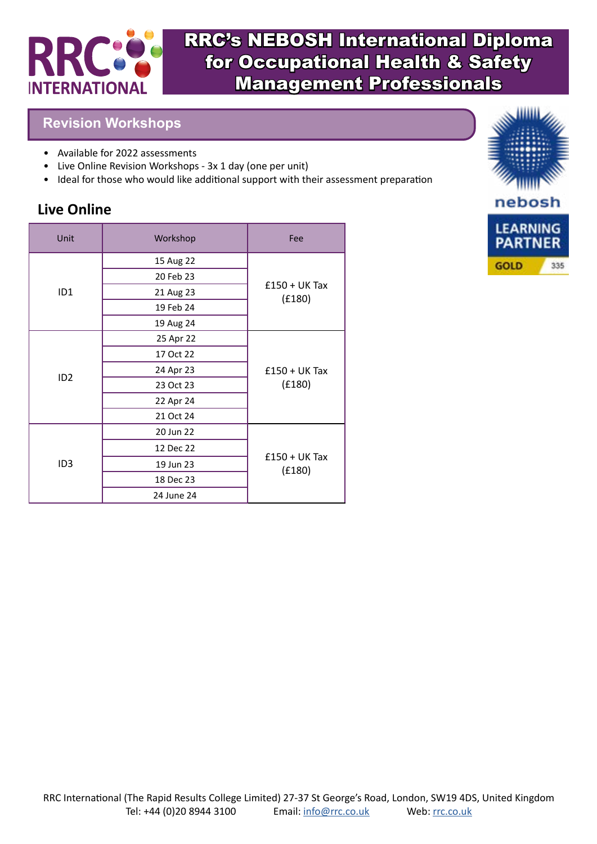

#### **Revision Workshops**

- Available for 2022 assessments
- Live Online Revision Workshops 3x 1 day (one per unit)
- Ideal for those who would like additional support with their assessment preparation

## **Live Online**

| Unit            | Workshop   | Fee                       |  |
|-----------------|------------|---------------------------|--|
| ID <sub>1</sub> | 15 Aug 22  |                           |  |
|                 | 20 Feb 23  |                           |  |
|                 | 21 Aug 23  | $£150 + UK$ Tax<br>(E180) |  |
|                 | 19 Feb 24  |                           |  |
|                 | 19 Aug 24  |                           |  |
| ID2             | 25 Apr 22  |                           |  |
|                 | 17 Oct 22  |                           |  |
|                 | 24 Apr 23  | $£150 + UK$ Tax           |  |
|                 | 23 Oct 23  | (E180)                    |  |
|                 | 22 Apr 24  |                           |  |
|                 | 21 Oct 24  |                           |  |
| ID <sub>3</sub> | 20 Jun 22  |                           |  |
|                 | 12 Dec 22  |                           |  |
|                 | 19 Jun 23  | $£150 + UK$ Tax<br>(E180) |  |
|                 | 18 Dec 23  |                           |  |
|                 | 24 June 24 |                           |  |

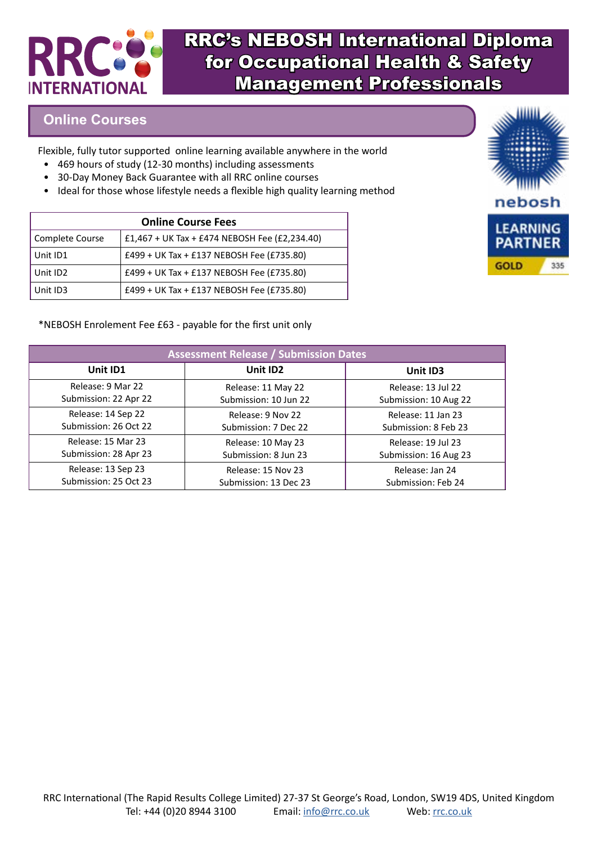

#### **Online Courses**

Flexible, fully tutor supported online learning available anywhere in the world

- 469 hours of study (12-30 months) including assessments
- 30-Day Money Back Guarantee with all RRC online courses
- Ideal for those whose lifestyle needs a flexible high quality learning method

| <b>Online Course Fees</b> |                                               |  |
|---------------------------|-----------------------------------------------|--|
| Complete Course           | £1,467 + UK Tax + £474 NEBOSH Fee (£2,234.40) |  |
| Unit ID1                  | £499 + UK Tax + £137 NEBOSH Fee (£735.80)     |  |
| Unit ID2                  | £499 + UK Tax + £137 NEBOSH Fee (£735.80)     |  |
| Unit ID3                  | £499 + UK Tax + £137 NEBOSH Fee (£735.80)     |  |



#### \*NEBOSH Enrolement Fee £63 - payable for the first unit only

| <b>Assessment Release / Submission Dates</b> |                       |                       |  |
|----------------------------------------------|-----------------------|-----------------------|--|
| Unit ID1                                     | Unit ID2              | Unit ID3              |  |
| Release: 9 Mar 22                            | Release: 11 May 22    | Release: 13 Jul 22    |  |
| Submission: 22 Apr 22                        | Submission: 10 Jun 22 | Submission: 10 Aug 22 |  |
| Release: 14 Sep 22                           | Release: 9 Nov 22     | Release: 11 Jan 23    |  |
| Submission: 26 Oct 22                        | Submission: 7 Dec 22  | Submission: 8 Feb 23  |  |
| Release: 15 Mar 23                           | Release: 10 May 23    | Release: 19 Jul 23    |  |
| Submission: 28 Apr 23                        | Submission: 8 Jun 23  | Submission: 16 Aug 23 |  |
| Release: 13 Sep 23                           | Release: 15 Nov 23    | Release: Jan 24       |  |
| Submission: 25 Oct 23                        | Submission: 13 Dec 23 | Submission: Feb 24    |  |